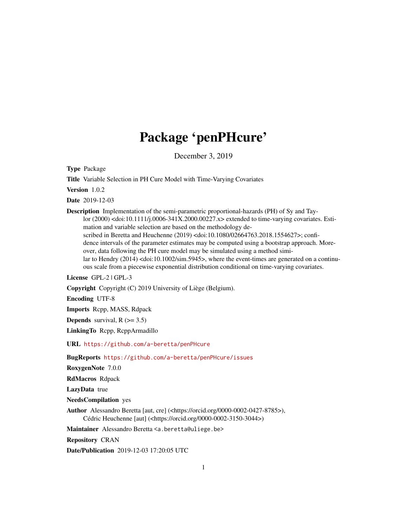# Package 'penPHcure'

December 3, 2019

Type Package

Title Variable Selection in PH Cure Model with Time-Varying Covariates

Version 1.0.2

Date 2019-12-03

Description Implementation of the semi-parametric proportional-hazards (PH) of Sy and Taylor (2000) <doi:10.1111/j.0006-341X.2000.00227.x> extended to time-varying covariates. Estimation and variable selection are based on the methodology described in Beretta and Heuchenne (2019) <doi:10.1080/02664763.2018.1554627>; confidence intervals of the parameter estimates may be computed using a bootstrap approach. Moreover, data following the PH cure model may be simulated using a method similar to Hendry (2014) <doi:10.1002/sim.5945>, where the event-times are generated on a continu-

ous scale from a piecewise exponential distribution conditional on time-varying covariates.

License GPL-2 | GPL-3

Copyright Copyright (C) 2019 University of Liège (Belgium).

Encoding UTF-8

Imports Rcpp, MASS, Rdpack

**Depends** survival,  $R$  ( $>= 3.5$ )

LinkingTo Rcpp, RcppArmadillo

URL <https://github.com/a-beretta/penPHcure>

BugReports <https://github.com/a-beretta/penPHcure/issues>

RoxygenNote 7.0.0

RdMacros Rdpack

LazyData true

NeedsCompilation yes

Author Alessandro Beretta [aut, cre] (<https://orcid.org/0000-0002-0427-8785>), Cédric Heuchenne [aut] (<https://orcid.org/0000-0002-3150-3044>)

Maintainer Alessandro Beretta <a.beretta@uliege.be>

Repository CRAN

Date/Publication 2019-12-03 17:20:05 UTC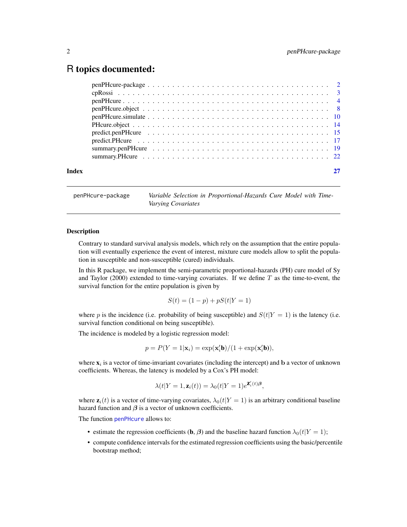# <span id="page-1-0"></span>R topics documented:

| Index |  |
|-------|--|

<span id="page-1-1"></span>penPHcure-package *Variable Selection in Proportional-Hazards Cure Model with Time-Varying Covariates*

#### Description

Contrary to standard survival analysis models, which rely on the assumption that the entire population will eventually experience the event of interest, mixture cure models allow to split the population in susceptible and non-susceptible (cured) individuals.

In this R package, we implement the semi-parametric proportional-hazards (PH) cure model of Sy and Taylor (2000) extended to time-varying covariates. If we define  $T$  as the time-to-event, the survival function for the entire population is given by

$$
S(t) = (1 - p) + pS(t|Y = 1)
$$

where p is the incidence (i.e. probability of being susceptible) and  $S(t|Y = 1)$  is the latency (i.e. survival function conditional on being susceptible).

The incidence is modeled by a logistic regression model:

$$
p = P(Y = 1|\mathbf{x}_i) = \exp(\mathbf{x}_i'\mathbf{b})/(1 + \exp(\mathbf{x}_i'\mathbf{b})),
$$

where  $x_i$  is a vector of time-invariant covariates (including the intercept) and b a vector of unknown coefficients. Whereas, the latency is modeled by a Cox's PH model:

$$
\lambda(t|Y=1, \mathbf{z}_i(t)) = \lambda_0(t|Y=1)e^{\mathbf{Z}_i'(t)\boldsymbol{\beta}},
$$

where  $z_i(t)$  is a vector of time-varying covariates,  $\lambda_0(t|Y=1)$  is an arbitrary conditional baseline hazard function and  $\beta$  is a vector of unknown coefficients.

The function [penPHcure](#page-3-1) allows to:

- estimate the regression coefficients (**b**,  $\beta$ ) and the baseline hazard function  $\lambda_0(t|Y = 1)$ ;
- compute confidence intervals for the estimated regression coefficients using the basic/percentile bootstrap method;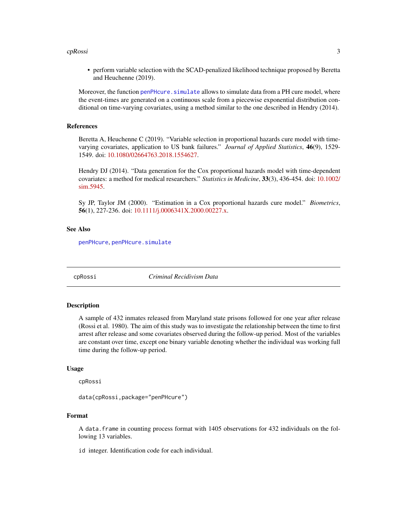#### <span id="page-2-0"></span>cpRossi 3

• perform variable selection with the SCAD-penalized likelihood technique proposed by Beretta and Heuchenne (2019).

Moreover, the function penPHcure. simulate allows to simulate data from a PH cure model, where the event-times are generated on a continuous scale from a piecewise exponential distribution conditional on time-varying covariates, using a method similar to the one described in Hendry (2014).

### References

Beretta A, Heuchenne C (2019). "Variable selection in proportional hazards cure model with timevarying covariates, application to US bank failures." *Journal of Applied Statistics*, 46(9), 1529- 1549. doi: [10.1080/02664763.2018.1554627.](https://doi.org/10.1080/02664763.2018.1554627)

Hendry DJ (2014). "Data generation for the Cox proportional hazards model with time-dependent covariates: a method for medical researchers." *Statistics in Medicine*, 33(3), 436-454. doi: [10.1002/](https://doi.org/10.1002/sim.5945) [sim.5945.](https://doi.org/10.1002/sim.5945)

Sy JP, Taylor JM (2000). "Estimation in a Cox proportional hazards cure model." *Biometrics*, 56(1), 227-236. doi: [10.1111/j.0006341X.2000.00227.x.](https://doi.org/10.1111/j.0006-341X.2000.00227.x)

#### See Also

[penPHcure](#page-3-1), [penPHcure.simulate](#page-9-1)

cpRossi *Criminal Recidivism Data*

#### **Description**

A sample of 432 inmates released from Maryland state prisons followed for one year after release (Rossi et al. 1980). The aim of this study was to investigate the relationship between the time to first arrest after release and some covariates observed during the follow-up period. Most of the variables are constant over time, except one binary variable denoting whether the individual was working full time during the follow-up period.

# Usage

cpRossi

data(cpRossi,package="penPHcure")

#### Format

A data.frame in counting process format with 1405 observations for 432 individuals on the following 13 variables.

id integer. Identification code for each individual.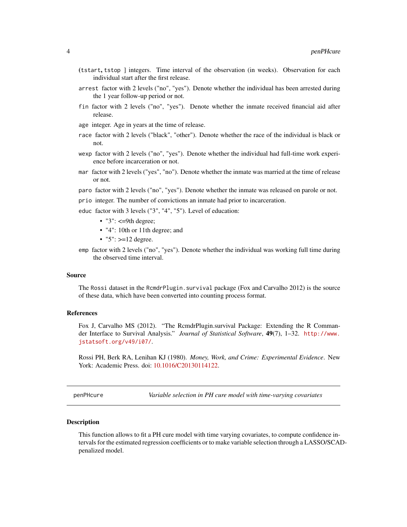- <span id="page-3-0"></span>(tstart, tstop ] integers. Time interval of the observation (in weeks). Observation for each individual start after the first release.
- arrest factor with 2 levels ("no", "yes"). Denote whether the individual has been arrested during the 1 year follow-up period or not.
- fin factor with 2 levels ("no", "yes"). Denote whether the inmate received financial aid after release.
- age integer. Age in years at the time of release.
- race factor with 2 levels ("black", "other"). Denote whether the race of the individual is black or not.
- wexp factor with 2 levels ("no", "yes"). Denote whether the individual had full-time work experience before incarceration or not.
- mar factor with 2 levels ("yes", "no"). Denote whether the inmate was married at the time of release or not.
- paro factor with 2 levels ("no", "yes"). Denote whether the inmate was released on parole or not.
- prio integer. The number of convictions an inmate had prior to incarceration.
- educ factor with 3 levels ("3", "4", "5"). Level of education:
	- $\cdot$  "3":  $\leq$ =9th degree;
	- "4": 10th or 11th degree; and
	- $"5"$ : >=12 degree.
- emp factor with 2 levels ("no", "yes"). Denote whether the individual was working full time during the observed time interval.

#### Source

The Rossi dataset in the RcmdrPlugin.survival package (Fox and Carvalho 2012) is the source of these data, which have been converted into counting process format.

#### References

Fox J, Carvalho MS (2012). "The RcmdrPlugin.survival Package: Extending the R Commander Interface to Survival Analysis." *Journal of Statistical Software*, 49(7), 1–32. [http://www.](http://www.jstatsoft.org/v49/i07/) [jstatsoft.org/v49/i07/](http://www.jstatsoft.org/v49/i07/).

Rossi PH, Berk RA, Lenihan KJ (1980). *Money, Work, and Crime: Experimental Evidence*. New York: Academic Press. doi: [10.1016/C20130114122.](https://doi.org/10.1016/C2013-0-11412-2)

<span id="page-3-1"></span>penPHcure *Variable selection in PH cure model with time-varying covariates*

#### **Description**

This function allows to fit a PH cure model with time varying covariates, to compute confidence intervals for the estimated regression coefficients or to make variable selection through a LASSO/SCADpenalized model.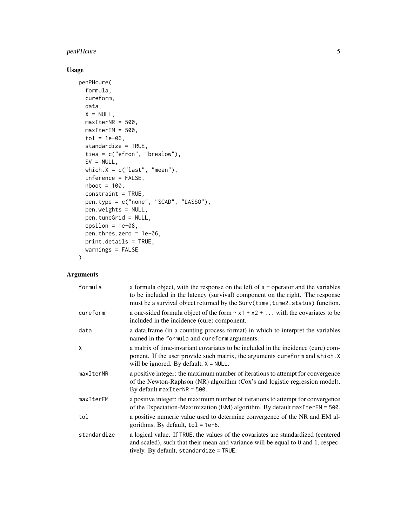# penPHcure 5

# Usage

```
penPHcure(
 formula,
  cureform,
 data,
 X = NULL,maxIterNR = 500,maxIterEM = 500,tol = 1e-06,standardize = TRUE,
  ties = c("efron", "breslow"),
 SV = NULL,which.X = c("last", "mean"),inference = FALSE,
 nboot = 100,
  constraint = TRUE,
 pen.type = c("none", "SCAD", "LASSO"),
 pen.weights = NULL,
 pen.tuneGrid = NULL,
 epsilon = 1e-08,
 pen.thres.zero = 1e-06,
 print.details = TRUE,
 warnings = FALSE
\mathcal{L}
```
# Arguments

| formula     | a formula object, with the response on the left of a $\sim$ operator and the variables<br>to be included in the latency (survival) component on the right. The response<br>must be a survival object returned by the Surv(time, time2, status) function. |
|-------------|----------------------------------------------------------------------------------------------------------------------------------------------------------------------------------------------------------------------------------------------------------|
| cureform    | a one-sided formula object of the form $\sim x1 + x2 + $ with the covariates to be<br>included in the incidence (cure) component.                                                                                                                        |
| data        | a data frame (in a counting process format) in which to interpret the variables<br>named in the formula and cureform arguments.                                                                                                                          |
| X           | a matrix of time-invariant covariates to be included in the incidence (cure) com-<br>ponent. If the user provide such matrix, the arguments cureform and which. X<br>will be ignored. By default, $X = NULL$ .                                           |
| maxIterNR   | a positive integer: the maximum number of iterations to attempt for convergence<br>of the Newton-Raphson (NR) algorithm (Cox's and logistic regression model).<br>By default $maxIterNR = 500$ .                                                         |
| maxIterEM   | a positive integer: the maximum number of iterations to attempt for convergence<br>of the Expectation-Maximization (EM) algorithm. By default $maxIterEM = 500$ .                                                                                        |
| tol         | a positive numeric value used to determine convergence of the NR and EM al-<br>gorithms. By default, $tol = 1e-6$ .                                                                                                                                      |
| standardize | a logical value. If TRUE, the values of the covariates are standardized (centered<br>and scaled), such that their mean and variance will be equal to 0 and 1, respec-<br>tively. By default, standardize = TRUE.                                         |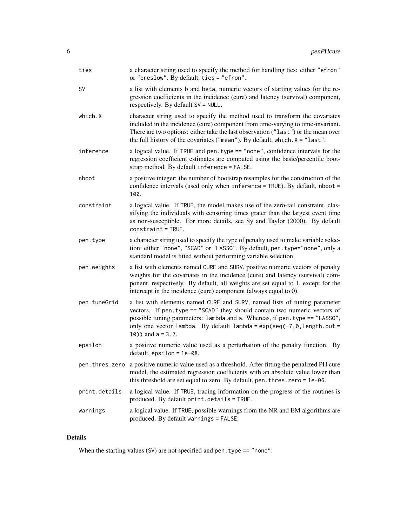| ties          | a character string used to specify the method for handling ties: either "efron"<br>or "breslow". By default, ties = "efron".                                                                                                                                                                                                                   |
|---------------|------------------------------------------------------------------------------------------------------------------------------------------------------------------------------------------------------------------------------------------------------------------------------------------------------------------------------------------------|
| SV            | a list with elements b and beta, numeric vectors of starting values for the re-<br>gression coefficients in the incidence (cure) and latency (survival) component,<br>respectively. By default SV = NULL.                                                                                                                                      |
| which.X       | character string used to specify the method used to transform the covariates<br>included in the incidence (cure) component from time-varying to time-invariant.<br>There are two options: either take the last observation ("last") or the mean over<br>the full history of the covariates ("mean"). By default, which $x = "last".$           |
| inference     | a logical value. If TRUE and pen. type == "none", confidence intervals for the<br>regression coefficient estimates are computed using the basic/percentile boot-<br>strap method. By default inference = FALSE.                                                                                                                                |
| nboot         | a positive integer: the number of bootstrap resamples for the construction of the<br>confidence intervals (used only when inference = TRUE). By default, nboot =<br>100.                                                                                                                                                                       |
| constraint    | a logical value. If TRUE, the model makes use of the zero-tail constraint, clas-<br>sifying the individuals with censoring times grater than the largest event time<br>as non-susceptible. For more details, see Sy and Taylor (2000). By default<br>$constant = TRUE.$                                                                        |
| pen.type      | a character string used to specify the type of penalty used to make variable selec-<br>tion: either "none", "SCAD" or "LASSO". By default, pen. type="none", only a<br>standard model is fitted without performing variable selection.                                                                                                         |
| pen.weights   | a list with elements named CURE and SURV, positive numeric vectors of penalty<br>weights for the covariates in the incidence (cure) and latency (survival) com-<br>ponent, respectively. By default, all weights are set equal to 1, except for the<br>intercept in the incidence (cure) component (always equal to 0).                        |
| pen.tuneGrid  | a list with elements named CURE and SURV, named lists of tuning parameter<br>vectors. If pen. type == "SCAD" they should contain two numeric vectors of<br>possible tuning parameters: lambda and a. Whereas, if pen. type == "LASSO",<br>only one vector lambda. By default lambda = $exp(seq(-7, 0, length.out =$<br>$10)$ ) and $a = 3.7$ . |
| epsilon       | a positive numeric value used as a perturbation of the penalty function. By<br>$default, epsilon = 1e-08.$                                                                                                                                                                                                                                     |
|               | pen. thres. zero a positive numeric value used as a threshold. After fitting the penalized PH cure<br>model, the estimated regression coefficients with an absolute value lower than<br>this threshold are set equal to zero. By default, pen. thres. zero = 1e-06.                                                                            |
| print.details | a logical value. If TRUE, tracing information on the progress of the routines is<br>produced. By default print.details = TRUE.                                                                                                                                                                                                                 |
| warnings      | a logical value. If TRUE, possible warnings from the NR and EM algorithms are<br>produced. By default warnings = FALSE.                                                                                                                                                                                                                        |

# Details

When the starting values (SV) are not specified and pen. type == "none":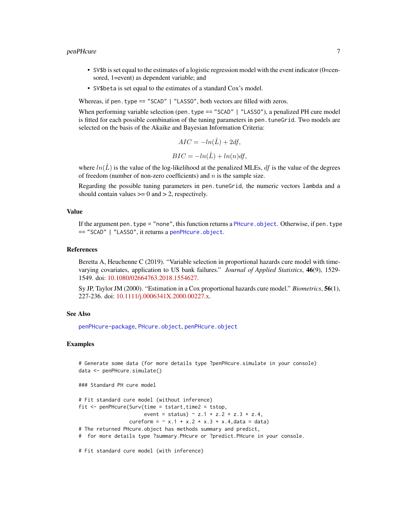#### <span id="page-6-0"></span>penPHcure 7 and 7 and 7 and 7 and 7 and 7 and 7 and 7 and 7 and 7 and 7 and 7 and 7 and 7 and 7 and 7 and 7 and 7 and 7 and 7 and 7 and 7 and 7 and 7 and 7 and 7 and 7 and 7 and 7 and 7 and 7 and 7 and 7 and 7 and 7 and 7

- SV\$b is set equal to the estimates of a logistic regression model with the event indicator (0=censored, 1=event) as dependent variable; and
- SV\$beta is set equal to the estimates of a standard Cox's model.

Whereas, if pen. type == "SCAD" | "LASSO", both vectors are filled with zeros.

When performing variable selection (pen. type == "SCAD" | "LASSO"), a penalized PH cure model is fitted for each possible combination of the tuning parameters in pen. tuneGrid. Two models are selected on the basis of the Akaike and Bayesian Information Criteria:

$$
AIC = -ln(\hat{L}) + 2df,
$$
  

$$
BIC = -ln(\hat{L}) + ln(n)df,
$$

where  $ln(L)$  is the value of the log-likelihood at the penalized MLEs, df is the value of the degrees of freedom (number of non-zero coefficients) and  $n$  is the sample size.

Regarding the possible tuning parameters in pen.tuneGrid, the numeric vectors lambda and a should contain values  $\geq 0$  and  $> 2$ , respectively.

#### Value

If the argument pen. type = "none", this function returns a PHcure. object. Otherwise, if pen. type == "SCAD" | "LASSO", it returns a [penPHcure.object](#page-7-1).

#### References

Beretta A, Heuchenne C (2019). "Variable selection in proportional hazards cure model with timevarying covariates, application to US bank failures." *Journal of Applied Statistics*, 46(9), 1529- 1549. doi: [10.1080/02664763.2018.1554627.](https://doi.org/10.1080/02664763.2018.1554627)

Sy JP, Taylor JM (2000). "Estimation in a Cox proportional hazards cure model." *Biometrics*, 56(1), 227-236. doi: [10.1111/j.0006341X.2000.00227.x.](https://doi.org/10.1111/j.0006-341X.2000.00227.x)

#### See Also

[penPHcure-package](#page-1-1), [PHcure.object](#page-13-1), [penPHcure.object](#page-7-1)

#### Examples

```
# Generate some data (for more details type ?penPHcure.simulate in your console)
data <- penPHcure.simulate()
```
### Standard PH cure model

```
# Fit standard cure model (without inference)
fit \leq penPHcure(Surv(time = tstart,time2 = tstop,
                      event = status) \sim z.1 + z.2 + z.3 + z.4,
                 cureform = \sim x.1 + x.2 + x.3 + x.4, data = data)
# The returned PHcure.object has methods summary and predict,
```
# for more details type ?summary.PHcure or ?predict.PHcure in your console.

# Fit standard cure model (with inference)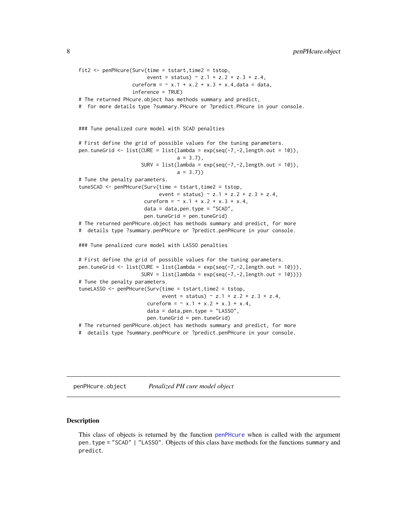```
fit2 <- penPHcure(Surv(time = tstart,time2 = tstop,
                       event = status) \sim z.1 + z.2 + z.3 + z.4,
                  cureform = \sim x.1 + x.2 + x.3 + x.4, data = data,
                  inference = TRUE)
# The returned PHcure.object has methods summary and predict,
# for more details type ?summary.PHcure or ?predict.PHcure in your console.
### Tune penalized cure model with SCAD penalties
# First define the grid of possible values for the tuning parameters.
pen.tuneGrid <- list(CURE = list(lambda = exp(seq(-7,-2,length.out = 10)),
                                 a = 3.7,
                     SURV = list(lambda = exp(seq(-7, -2, length.out = 10)),a = 3.7)# Tune the penalty parameters.
tuneSCAD <- penPHcure(Surv(time = tstart,time2 = tstop,
                           event = status) \sim z.1 + z.2 + z.3 + z.4,
                      cureform = \sim x.1 + x.2 + x.3 + x.4,
                      data = data, pen. type = "SCAD",pen.tuneGrid = pen.tuneGrid)
# The returned penPHcure.object has methods summary and predict, for more
# details type ?summary.penPHcure or ?predict.penPHcure in your console.
### Tune penalized cure model with LASSO penalties
# First define the grid of possible values for the tuning parameters.
pen.tuneGrid <- list(CURE = list(lambda = exp(seq(-7, -2, length.out = 10))),
                     SURV = list(lambda = exp(seq(-7, -2, length.out = 10))))# Tune the penalty parameters.
tuneLASSO <- penPHcure(Surv(time = tstart,time2 = tstop,
                            event = status) \sim z.1 + z.2 + z.3 + z.4,
                       cureform = \sim x.1 + x.2 + x.3 + x.4,
                       data = data, pen.type = "LASSO",pen.tuneGrid = pen.tuneGrid)
# The returned penPHcure.object has methods summary and predict, for more
# details type ?summary.penPHcure or ?predict.penPHcure in your console.
```
<span id="page-7-1"></span>penPHcure.object *Penalized PH cure model object*

#### **Description**

This class of objects is returned by the function [penPHcure](#page-3-1) when is called with the argument pen.type = "SCAD" | "LASSO". Objects of this class have methods for the functions summary and predict.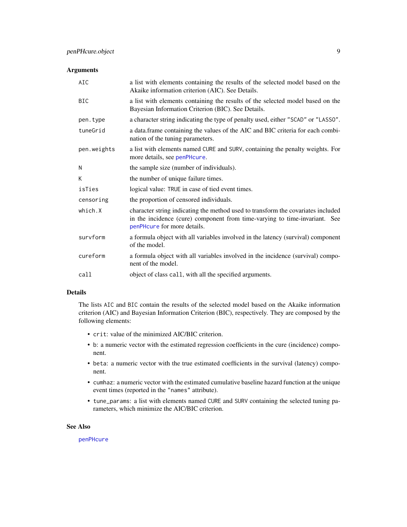# <span id="page-8-0"></span>Arguments

| AIC         | a list with elements containing the results of the selected model based on the<br>Akaike information criterion (AIC). See Details.                                                            |
|-------------|-----------------------------------------------------------------------------------------------------------------------------------------------------------------------------------------------|
| <b>BIC</b>  | a list with elements containing the results of the selected model based on the<br>Bayesian Information Criterion (BIC). See Details.                                                          |
| pen.type    | a character string indicating the type of penalty used, either "SCAD" or "LASSO".                                                                                                             |
| tuneGrid    | a data.frame containing the values of the AIC and BIC criteria for each combi-<br>nation of the tuning parameters.                                                                            |
| pen.weights | a list with elements named CURE and SURV, containing the penalty weights. For<br>more details, see penPHcure.                                                                                 |
| N           | the sample size (number of individuals).                                                                                                                                                      |
| К           | the number of unique failure times.                                                                                                                                                           |
| isTies      | logical value: TRUE in case of tied event times.                                                                                                                                              |
| censoring   | the proportion of censored individuals.                                                                                                                                                       |
| which.X     | character string indicating the method used to transform the covariates included<br>in the incidence (cure) component from time-varying to time-invariant. See<br>penPHcure for more details. |
| survform    | a formula object with all variables involved in the latency (survival) component<br>of the model.                                                                                             |
| cureform    | a formula object with all variables involved in the incidence (survival) compo-<br>nent of the model.                                                                                         |
| call        | object of class call, with all the specified arguments.                                                                                                                                       |

## Details

The lists AIC and BIC contain the results of the selected model based on the Akaike information criterion (AIC) and Bayesian Information Criterion (BIC), respectively. They are composed by the following elements:

- crit: value of the minimized AIC/BIC criterion.
- b: a numeric vector with the estimated regression coefficients in the cure (incidence) component.
- beta: a numeric vector with the true estimated coefficients in the survival (latency) component.
- cumhaz: a numeric vector with the estimated cumulative baseline hazard function at the unique event times (reported in the "names" attribute).
- tune\_params: a list with elements named CURE and SURV containing the selected tuning parameters, which minimize the AIC/BIC criterion.

# See Also

[penPHcure](#page-3-1)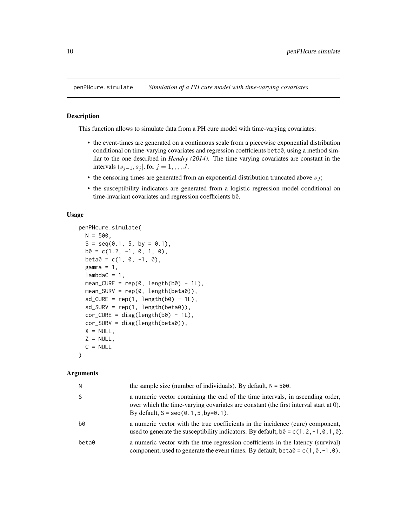<span id="page-9-1"></span><span id="page-9-0"></span>

#### Description

This function allows to simulate data from a PH cure model with time-varying covariates:

- the event-times are generated on a continuous scale from a piecewise exponential distribution conditional on time-varying covariates and regression coefficients beta0, using a method similar to the one described in *Hendry (2014)*. The time varying covariates are constant in the intervals  $(s_{j-1}, s_j]$ , for  $j = 1, \ldots, J$ .
- the censoring times are generated from an exponential distribution truncated above  $s_j$ ;
- the susceptibility indicators are generated from a logistic regression model conditional on time-invariant covariates and regression coefficients b0.

#### Usage

```
penPHcure.simulate(
 N = 500.
  S = seq(0.1, 5, by = 0.1),b0 = c(1.2, -1, 0, 1, 0),
 beta = c(1, 0, -1, 0),
  gamma = 1,
  lambdaC = 1,
  mean CURE = rep(0, length(b0) - 1L),mean_SURV = rep(0, length(beta0)),sd_CURE = rep(1, length(b0) - 1L),sd_SURV = rep(1, length(beta0)),cor_CURE = diag(length(b0) - 1L),
  cor_SURV = diag(length(beta0)),
  X = NULL,Z = NULL,
  C = NULL\lambda
```
# Arguments

| N     | the sample size (number of individuals). By default, $N = 500$ .                                                                                                                                                                |
|-------|---------------------------------------------------------------------------------------------------------------------------------------------------------------------------------------------------------------------------------|
|       | a numeric vector containing the end of the time intervals, in ascending order,<br>over which the time-varying covariates are constant (the first interval start at 0).<br>By default, $S = \text{seq}(0.1, 5, \text{by=0}.1)$ . |
| b0    | a numeric vector with the true coefficients in the incidence (cure) component,<br>used to generate the susceptibility indicators. By default, $b0 = c(1, 2, -1, 0, 1, 0)$ .                                                     |
| beta0 | a numeric vector with the true regression coefficients in the latency (survival)<br>component, used to generate the event times. By default, beta $\theta = c(1, \theta, -1, \theta)$ .                                         |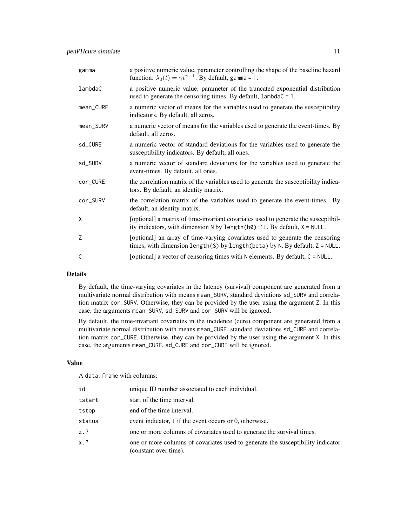| gamma     | a positive numeric value, parameter controlling the shape of the baseline hazard<br>function: $\lambda_0(t) = \gamma t^{\gamma - 1}$ . By default, gamma = 1.                |
|-----------|------------------------------------------------------------------------------------------------------------------------------------------------------------------------------|
| lambdaC   | a positive numeric value, parameter of the truncated exponential distribution<br>used to generate the censoring times. By default, lambdaC = 1.                              |
| mean_CURE | a numeric vector of means for the variables used to generate the susceptibility<br>indicators. By default, all zeros.                                                        |
| mean_SURV | a numeric vector of means for the variables used to generate the event-times. By<br>default, all zeros.                                                                      |
| sd_CURE   | a numeric vector of standard deviations for the variables used to generate the<br>susceptibility indicators. By default, all ones.                                           |
| sd_SURV   | a numeric vector of standard deviations for the variables used to generate the<br>event-times. By default, all ones.                                                         |
| cor_CURE  | the correlation matrix of the variables used to generate the susceptibility indica-<br>tors. By default, an identity matrix.                                                 |
| cor_SURV  | the correlation matrix of the variables used to generate the event-times. By<br>default, an identity matrix.                                                                 |
| X         | [optional] a matrix of time-invariant covariates used to generate the susceptibil-<br>ity indicators, with dimension $N$ by length( $b\theta$ )-1L. By default, $X = NULL$ . |
| Z         | [optional] an array of time-varying covariates used to generate the censoring<br>times, with dimension length(S) by length(beta) by N. By default, $Z = NULL$ .              |
| C         | [optional] a vector of censoring times with N elements. By default, C = NULL.                                                                                                |

# Details

By default, the time-varying covariates in the latency (survival) component are generated from a multivariate normal distribution with means mean\_SURV, standard deviations sd\_SURV and correlation matrix cor\_SURV. Otherwise, they can be provided by the user using the argument Z. In this case, the arguments mean\_SURV, sd\_SURV and cor\_SURV will be ignored.

By default, the time-invariant covariates in the incidence (cure) component are generated from a multivariate normal distribution with means mean\_CURE, standard deviations sd\_CURE and correlation matrix cor\_CURE. Otherwise, they can be provided by the user using the argument X. In this case, the arguments mean\_CURE, sd\_CURE and cor\_CURE will be ignored.

# Value

A data.frame with columns:

| unique ID number associated to each individual.                                                          |
|----------------------------------------------------------------------------------------------------------|
| start of the time interval.                                                                              |
| end of the time interval.                                                                                |
| event indicator, 1 if the event occurs or 0, otherwise.                                                  |
| one or more columns of covariates used to generate the survival times.                                   |
| one or more columns of covariates used to generate the susceptibility indicator<br>(constant over time). |
|                                                                                                          |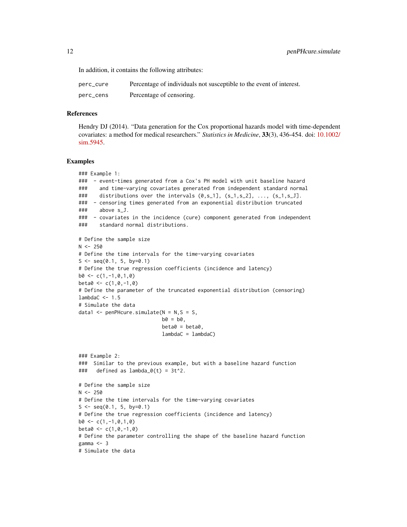In addition, it contains the following attributes:

| perc_cure | Percentage of individuals not susceptible to the event of interest. |
|-----------|---------------------------------------------------------------------|
| perc_cens | Percentage of censoring.                                            |

#### References

Hendry DJ (2014). "Data generation for the Cox proportional hazards model with time-dependent covariates: a method for medical researchers." *Statistics in Medicine*, 33(3), 436-454. doi: [10.1002/](https://doi.org/10.1002/sim.5945) [sim.5945.](https://doi.org/10.1002/sim.5945)

#### Examples

```
### Example 1:
### - event-times generated from a Cox's PH model with unit baseline hazard
### and time-varying covariates generated from independent standard normal
### distributions over the intervals (0, s_1], (s_1, s_2], ..., (s_1, s_1].
### - censoring times generated from an exponential distribution truncated
### above s_J.
### - covariates in the incidence (cure) component generated from independent
### standard normal distributions.
# Define the sample size
N < -250# Define the time intervals for the time-varying covariates
S \leq -\text{seq}(0.1, 5, \text{ by}=0.1)# Define the true regression coefficients (incidence and latency)
b0 \leq -c(1,-1,0,1,0)beta < -c(1, 0, -1, 0)# Define the parameter of the truncated exponential distribution (censoring)
lambdaC < -1.5# Simulate the data
data1 \leq penPHcure.simulate(N = N,S = S,
                            b0 = b0,
                            beta = beta0.
                            lambdaC = lambdaC)
### Example 2:
### Similar to the previous example, but with a baseline hazard function
### defined as lambda_0(t) = 3t^2.
# Define the sample size
N < -250# Define the time intervals for the time-varying covariates
S \leq -\text{seq}(0.1, 5, \text{ by}=0.1)# Define the true regression coefficients (incidence and latency)
b0 \leq c(1,-1,0,1,0)beta < -c(1, 0, -1, 0)# Define the parameter controlling the shape of the baseline hazard function
gamma <-3# Simulate the data
```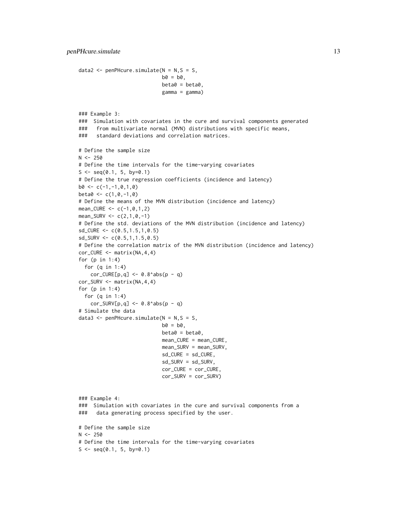data2 <- penPHcure.simulate( $N = N$ ,  $S = S$ ,

```
b0 = b0,
                             beta = beta0,
                             gamma = gamma)
### Example 3:
### Simulation with covariates in the cure and survival components generated
### from multivariate normal (MVN) distributions with specific means,
### standard deviations and correlation matrices.
# Define the sample size
N < -250# Define the time intervals for the time-varying covariates
S \leq -\text{seq}(0.1, 5, \text{ by}=0.1)# Define the true regression coefficients (incidence and latency)
b0 \leftarrow c(-1, -1, 0, 1, 0)beta < -c(1, 0, -1, 0)# Define the means of the MVN distribution (incidence and latency)
mean_CURE <- c(-1,0,1,2)
mean_SURV \leq c(2,1,0,-1)# Define the std. deviations of the MVN distribution (incidence and latency)
sd_CURE <- c(0.5,1.5,1,0.5)
sd_SURV \leq c(0.5, 1, 1.5, 0.5)# Define the correlation matrix of the MVN distribution (incidence and latency)
cor_CURE <- matrix(NA,4,4)
for (p in 1:4)
  for (q in 1:4)
    cor_CURE[p,q] \leftarrow 0.8^\land abs(p - q)cor_SURV <- matrix(NA,4,4)
for (p in 1:4)
  for (q in 1:4)
    cor\_SURV[p,q] \le 0.8^\circ abs(p - q)# Simulate the data
data3 <- penPHcure.simulate(N = N, S = S,
                             b0 = b0,
                             beta = beta0,
                             mean_CURE = mean_CURE,
                             mean_SURV = mean_SURV,
                             sd_CURE = sd_CURE,
                             sd_SURV = sd_SURV,
                             cor_CURE = cor_CURE,
                             cor_SURV = cor_SURV)
### Example 4:
### Simulation with covariates in the cure and survival components from a
### data generating process specified by the user.
# Define the sample size
N < -250# Define the time intervals for the time-varying covariates
S \leq -\text{seq}(0.1, 5, \text{ by}=0.1)
```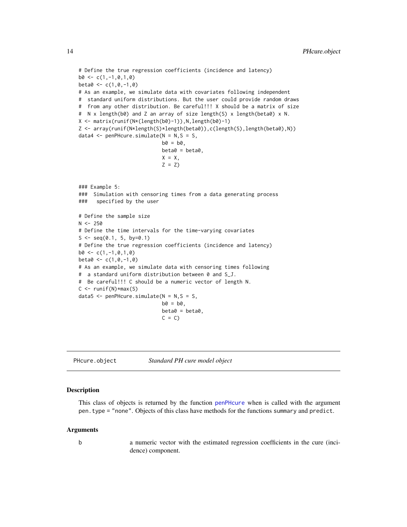```
# Define the true regression coefficients (incidence and latency)
b0 \leq c(1,-1,0,1,0)beta < -c(1, 0, -1, 0)# As an example, we simulate data with covariates following independent
# standard uniform distributions. But the user could provide random draws
# from any other distribution. Be careful!!! X should be a matrix of size
# N x length(b0) and Z an array of size length(S) x length(beta0) x N.
X <- matrix(runif(N*(length(b0)-1)),N,length(b0)-1)
Z <- array(runif(N*length(S)*length(beta0)),c(length(S),length(beta0),N))
data4 \leq penPHcure.simulate(N = N, S = S,
                            b0 = b0,
                            beta = beta0,
                            X = X,
                            Z = Z### Example 5:
### Simulation with censoring times from a data generating process
### specified by the user
# Define the sample size
N < -250# Define the time intervals for the time-varying covariates
S \leq -seq(0.1, 5, by=0.1)# Define the true regression coefficients (incidence and latency)
b0 \leq c(1,-1,0,1,0)beta < -c(1, 0, -1, 0)# As an example, we simulate data with censoring times following
# a standard uniform distribution between 0 and S_J.
# Be careful!!! C should be a numeric vector of length N.
C \le runif(N) *max(S)
data5 <- penPHcure.simulate(N = N, S = S,
                            b0 = b0,
                            beta = beta0,
                            C = C
```
<span id="page-13-1"></span>PHcure.object *Standard PH cure model object*

#### **Description**

This class of objects is returned by the function [penPHcure](#page-3-1) when is called with the argument pen.type = "none". Objects of this class have methods for the functions summary and predict.

#### Arguments

b a numeric vector with the estimated regression coefficients in the cure (incidence) component.

<span id="page-13-0"></span>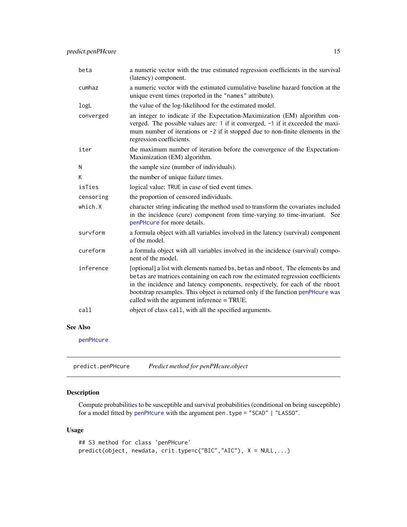<span id="page-14-0"></span>

| beta      | a numeric vector with the true estimated regression coefficients in the survival<br>(latency) component.                                                                                                                                                                                                                                                                           |
|-----------|------------------------------------------------------------------------------------------------------------------------------------------------------------------------------------------------------------------------------------------------------------------------------------------------------------------------------------------------------------------------------------|
| cumhaz    | a numeric vector with the estimated cumulative baseline hazard function at the<br>unique event times (reported in the "names" attribute).                                                                                                                                                                                                                                          |
| logL      | the value of the log-likelihood for the estimated model.                                                                                                                                                                                                                                                                                                                           |
| converged | an integer to indicate if the Expectation-Maximization (EM) algorithm con-<br>verged. The possible values are: 1 if it converged, -1 if it exceeded the maxi-<br>mum number of iterations or $-2$ if it stopped due to non-finite elements in the<br>regression coefficients.                                                                                                      |
| iter      | the maximum number of iteration before the convergence of the Expectation-<br>Maximization (EM) algorithm.                                                                                                                                                                                                                                                                         |
| N         | the sample size (number of individuals).                                                                                                                                                                                                                                                                                                                                           |
| K         | the number of unique failure times.                                                                                                                                                                                                                                                                                                                                                |
| isTies    | logical value: TRUE in case of tied event times.                                                                                                                                                                                                                                                                                                                                   |
| censoring | the proportion of censored individuals.                                                                                                                                                                                                                                                                                                                                            |
| which.X   | character string indicating the method used to transform the covariates included<br>in the incidence (cure) component from time-varying to time-invariant. See<br>penPHcure for more details.                                                                                                                                                                                      |
| survform  | a formula object with all variables involved in the latency (survival) component<br>of the model.                                                                                                                                                                                                                                                                                  |
| cureform  | a formula object with all variables involved in the incidence (survival) compo-<br>nent of the model.                                                                                                                                                                                                                                                                              |
| inference | [optional] a list with elements named bs, betas and nboot. The elements bs and<br>betas are matrices containing on each row the estimated regression coefficients<br>in the incidence and latency components, respectively, for each of the nboot<br>bootstrap resamples. This object is returned only if the function penPHcure was<br>called with the argument inference = TRUE. |
| call      | object of class call, with all the specified arguments.                                                                                                                                                                                                                                                                                                                            |

# See Also

[penPHcure](#page-3-1)

predict.penPHcure *Predict method for penPHcure.object*

# Description

Compute probabilities to be susceptible and survival probabilities (conditional on being susceptible) for a model fitted by [penPHcure](#page-3-1) with the argument pen.type = "SCAD" | "LASSO".

#### Usage

```
## S3 method for class 'penPHcure'
predict(object, newdata, crit.type=c("BIC","AIC"), X = NULL,...)
```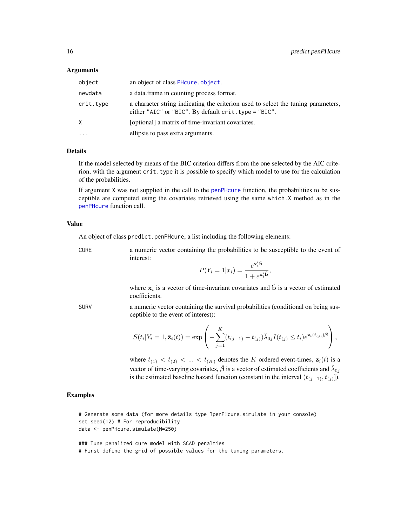#### <span id="page-15-0"></span>Arguments

| object    | an object of class PH cure object.                                                                                                        |
|-----------|-------------------------------------------------------------------------------------------------------------------------------------------|
| newdata   | a data. frame in counting process format.                                                                                                 |
| crit.type | a character string indicating the criterion used to select the tuning parameters,<br>either "AIC" or "BIC". By default crit.type = "BIC". |
| X         | [optional] a matrix of time-invariant covariates.                                                                                         |
| $\cdots$  | ellipsis to pass extra arguments.                                                                                                         |
|           |                                                                                                                                           |

#### Details

If the model selected by means of the BIC criterion differs from the one selected by the AIC criterion, with the argument crit.type it is possible to specify which model to use for the calculation of the probabilities.

If argument X was not supplied in the call to the [penPHcure](#page-3-1) function, the probabilities to be susceptible are computed using the covariates retrieved using the same which.X method as in the [penPHcure](#page-3-1) function call.

### Value

An object of class predict.penPHcure, a list including the following elements:

CURE a numeric vector containing the probabilities to be susceptible to the event of interest:

$$
P(Y_i = 1 | x_i) = \frac{e^{\mathbf{x}'_i \hat{\mathbf{b}}}}{1 + e^{\mathbf{x}'_i \hat{\mathbf{b}}}}
$$

,

where  $x_i$  is a vector of time-invariant covariates and  $\hat{b}$  is a vector of estimated coefficients.

SURV a numeric vector containing the survival probabilities (conditional on being susceptible to the event of interest):

$$
S(t_i|Y_i=1,\bar{\mathbf{z}}_i(t))=\exp\left(-\sum_{j=1}^K(t_{(j-1)}-t_{(j)})\hat{\lambda}_{0j}I(t_{(j)}\leq t_i)e^{\mathbf{z}_i(t_{(j)})\hat{\boldsymbol{\beta}}}\right),
$$

where  $t_{(1)} < t_{(2)} < ... < t_{(K)}$  denotes the K ordered event-times,  $z_i(t)$  is a vector of time-varying covariates,  $\hat{\beta}$  is a vector of estimated coefficients and  $\hat{\lambda}_{0j}$ is the estimated baseline hazard function (constant in the interval  $(t_{(j-1)}, t_{(j)}])$ .

### Examples

```
# Generate some data (for more details type ?penPHcure.simulate in your console)
set.seed(12) # For reproducibility
data <- penPHcure.simulate(N=250)
```
### Tune penalized cure model with SCAD penalties # First define the grid of possible values for the tuning parameters.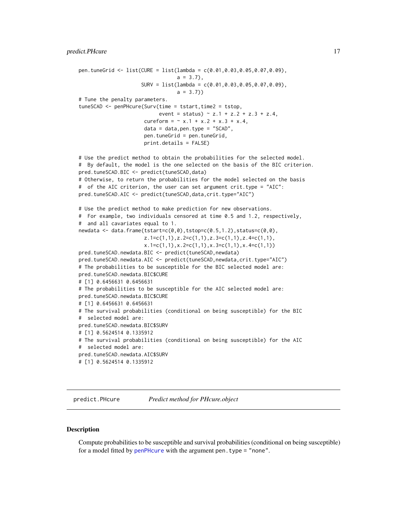```
pen.tuneGrid <- list(CURE = list(lambda = c(0.01,0.03,0.05,0.07,0.09),
                                 a = 3.7,
                     SURV = list(lambda = c(0.01, 0.03, 0.05, 0.07, 0.09),a = 3.7)# Tune the penalty parameters.
tuneSCAD <- penPHcure(Surv(time = tstart,time2 = tstop,
                           event = status) \sim z.1 + z.2 + z.3 + z.4,
                      cureform = \sim x.1 + x.2 + x.3 + x.4,
                      data = data,pen.type = "SCAD",
                      pen.tuneGrid = pen.tuneGrid,
                      print.details = FALSE)
# Use the predict method to obtain the probabilities for the selected model.
# By default, the model is the one selected on the basis of the BIC criterion.
pred.tuneSCAD.BIC <- predict(tuneSCAD,data)
# Otherwise, to return the probabilities for the model selected on the basis
# of the AIC criterion, the user can set argument crit.type = "AIC":
pred.tuneSCAD.AIC <- predict(tuneSCAD,data,crit.type="AIC")
# Use the predict method to make prediction for new observations.
# For example, two individuals censored at time 0.5 and 1.2, respectively,
# and all cavariates equal to 1.
newdata <- data.frame(tstart=c(0,0),tstop=c(0.5,1.2),status=c(0,0),
                      z.1=c(1,1),z.2=c(1,1),z.3=c(1,1),z.4=c(1,1),
                      x.1=c(1,1),x.2=c(1,1),x.3=c(1,1),x.4=c(1,1))
pred.tuneSCAD.newdata.BIC <- predict(tuneSCAD,newdata)
pred.tuneSCAD.newdata.AIC <- predict(tuneSCAD,newdata,crit.type="AIC")
# The probabilities to be susceptible for the BIC selected model are:
pred.tuneSCAD.newdata.BIC$CURE
# [1] 0.6456631 0.6456631
# The probabilities to be susceptible for the AIC selected model are:
pred.tuneSCAD.newdata.BIC$CURE
# [1] 0.6456631 0.6456631
# The survival probabilities (conditional on being susceptible) for the BIC
# selected model are:
pred.tuneSCAD.newdata.BIC$SURV
# [1] 0.5624514 0.1335912
# The survival probabilities (conditional on being susceptible) for the AIC
# selected model are:
pred.tuneSCAD.newdata.AIC$SURV
# [1] 0.5624514 0.1335912
```
predict.PHcure *Predict method for PHcure.object*

#### **Description**

Compute probabilities to be susceptible and survival probabilities (conditional on being susceptible) for a model fitted by [penPHcure](#page-3-1) with the argument pen. type = "none".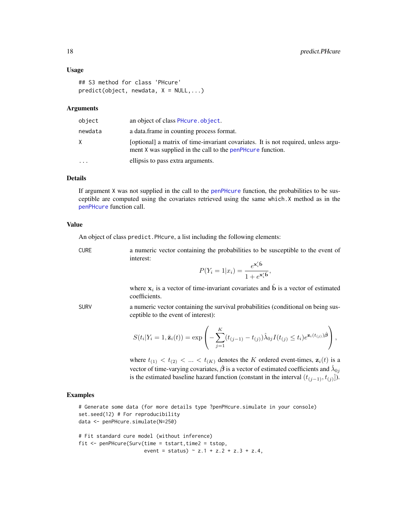#### Usage

```
## S3 method for class 'PHcure'
predict(object, new data, X = NULL, ...)
```
#### Arguments

| object    | an object of class PH cure object.                                                                                                                 |
|-----------|----------------------------------------------------------------------------------------------------------------------------------------------------|
| newdata   | a data.frame in counting process format.                                                                                                           |
| X.        | [optional] a matrix of time-invariant covariates. It is not required, unless argu-<br>ment X was supplied in the call to the penPH curve function. |
| $\ddotsc$ | ellipsis to pass extra arguments.                                                                                                                  |

#### Details

If argument X was not supplied in the call to the [penPHcure](#page-3-1) function, the probabilities to be susceptible are computed using the covariates retrieved using the same which.X method as in the [penPHcure](#page-3-1) function call.

#### Value

An object of class predict.PHcure, a list including the following elements:

CURE a numeric vector containing the probabilities to be susceptible to the event of interest:

$$
P(Y_i = 1 | x_i) = \frac{e^{\mathbf{x}'_i \hat{\mathbf{b}}}}{1 + e^{\mathbf{x}'_i \hat{\mathbf{b}}}}
$$

,

where  $x_i$  is a vector of time-invariant covariates and  $\hat{b}$  is a vector of estimated coefficients.

SURV a numeric vector containing the survival probabilities (conditional on being susceptible to the event of interest):

$$
S(t_i|Y_i=1,\bar{\mathbf{z}}_i(t))=\exp\left(-\sum_{j=1}^K(t_{(j-1)}-t_{(j)})\hat{\lambda}_{0j}I(t_{(j)}\leq t_i)e^{\mathbf{z}_i(t_{(j)})\hat{\boldsymbol{\beta}}}\right),
$$

where  $t_{(1)} < t_{(2)} < ... < t_{(K)}$  denotes the K ordered event-times,  $z_i(t)$  is a vector of time-varying covariates,  $\hat{\boldsymbol{\beta}}$  is a vector of estimated coefficients and  $\hat{\lambda}_{0j}$ is the estimated baseline hazard function (constant in the interval  $(t_{(j-1)}, t_{(j)}]$ ).

### Examples

# Generate some data (for more details type ?penPHcure.simulate in your console) set.seed(12) # For reproducibility data <- penPHcure.simulate(N=250)

# Fit standard cure model (without inference) fit <- penPHcure(Surv(time = tstart,time2 = tstop, event = status)  $\sim$  z.1 + z.2 + z.3 + z.4,

<span id="page-17-0"></span>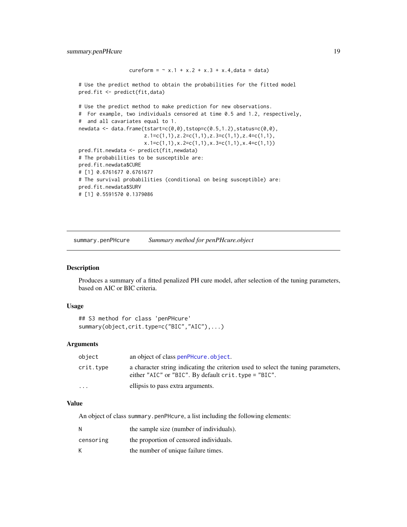```
cureform = \sim x.1 + x.2 + x.3 + x.4, data = data)
# Use the predict method to obtain the probabilities for the fitted model
pred.fit <- predict(fit,data)
# Use the predict method to make prediction for new observations.
# For example, two individuals censored at time 0.5 and 1.2, respectively,
# and all cavariates equal to 1.
newdata <- data.frame(tstart=c(0,0),tstop=c(0.5,1.2),status=c(0,0),
                       z \cdot 1 = c(1,1), z \cdot 2 = c(1,1), z \cdot 3 = c(1,1), z \cdot 4 = c(1,1),x.1=c(1,1),x.2=c(1,1),x.3=c(1,1),x.4=c(1,1))
pred.fit.newdata <- predict(fit,newdata)
# The probabilities to be susceptible are:
pred.fit.newdata$CURE
# [1] 0.6761677 0.6761677
# The survival probabilities (conditional on being susceptible) are:
pred.fit.newdata$SURV
# [1] 0.5591570 0.1379086
```
summary.penPHcure *Summary method for penPHcure.object*

#### Description

Produces a summary of a fitted penalized PH cure model, after selection of the tuning parameters, based on AIC or BIC criteria.

#### Usage

```
## S3 method for class 'penPHcure'
summary(object,crit.type=c("BIC","AIC"),...)
```
#### Arguments

| object    | an object of class penPHcure.object.                                                                                                         |
|-----------|----------------------------------------------------------------------------------------------------------------------------------------------|
| crit.tvpe | a character string indicating the criterion used to select the tuning parameters,<br>either "AIC" or "BIC". By default $crit.$ type = "BIC". |
| $\ddotsc$ | ellipsis to pass extra arguments.                                                                                                            |

#### Value

An object of class summary.penPHcure, a list including the following elements:

| N         | the sample size (number of individuals). |
|-----------|------------------------------------------|
| censoring | the proportion of censored individuals.  |
| К         | the number of unique failure times.      |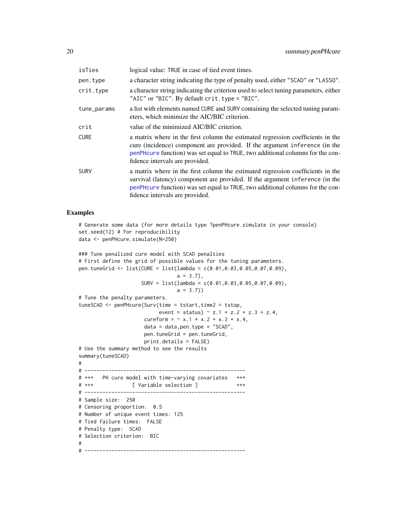<span id="page-19-0"></span>

| isTies      | logical value: TRUE in case of tied event times.                                                                                                                                                                                                                                     |
|-------------|--------------------------------------------------------------------------------------------------------------------------------------------------------------------------------------------------------------------------------------------------------------------------------------|
| pen.type    | a character string indicating the type of penalty used, either "SCAD" or "LASSO".                                                                                                                                                                                                    |
| crit.type   | a character string indicating the criterion used to select tuning parameters, either<br>"AIC" or "BIC". By default crit. type = "BIC".                                                                                                                                               |
| tune_params | a list with elements named CURE and SURV containing the selected tuning param-<br>eters, which minimize the AIC/BIC criterion.                                                                                                                                                       |
| crit        | value of the minimized AIC/BIC criterion.                                                                                                                                                                                                                                            |
| <b>CURE</b> | a matrix where in the first column the estimated regression coefficients in the<br>cure (incidence) component are provided. If the argument inference (in the<br>penPHcure function) was set equal to TRUE, two additional columns for the con-<br>fidence intervals are provided.   |
| SURV        | a matrix where in the first column the estimated regression coefficients in the<br>survival (latency) component are provided. If the argument inference (in the<br>penPHcure function) was set equal to TRUE, two additional columns for the con-<br>fidence intervals are provided. |

# Examples

```
# Generate some data (for more details type ?penPHcure.simulate in your console)
set.seed(12) # For reproducibility
data <- penPHcure.simulate(N=250)
```

```
### Tune penalized cure model with SCAD penalties
# First define the grid of possible values for the tuning parameters.
pen.tuneGrid <- list(CURE = list(lambda = c(0.01, 0.03, 0.05, 0.07, 0.09),
                                a = 3.7.
                    SURV = list(lambda = c(0.01, 0.03, 0.05, 0.07, 0.09),a = 3.7)# Tune the penalty parameters.
tuneSCAD <- penPHcure(Surv(time = tstart,time2 = tstop,
                          event = status) \sim z.1 + z.2 + z.3 + z.4,
                     cureform = \sim x.1 + x.2 + x.3 + x.4,
                     data = data,pen.type = "SCAD",
                     pen.tuneGrid = pen.tuneGrid,
                     print.details = FALSE)
# Use the summary method to see the results
summary(tuneSCAD)
#
# ------------------------------------------------------
# +++ PH cure model with time-varying covariates +++
# +++ [ Variable selection ] +++
# ------------------------------------------------------
# Sample size: 250
# Censoring proportion: 0.5
# Number of unique event times: 125
# Tied failure times: FALSE
# Penalty type: SCAD
# Selection criterion: BIC
#
# ------------------------------------------------------
```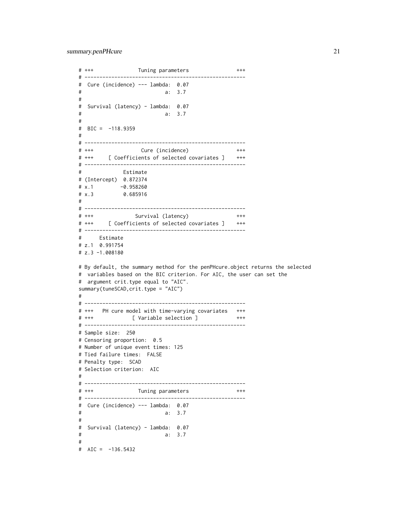```
# +++ Tuning parameters +++
# ------------------------------------------------------
# Cure (incidence) --- lambda: 0.07
# a: 3.7
#
# Survival (latency) - lambda: 0.07
# a: 3.7
#
\# BIC = -118.9359
#
# ------------------------------------------------------
# +++ Cure (incidence) +++
# +++ [ Coefficients of selected covariates ] +++
# ------------------------------------------------------
# Estimate
# (Intercept) 0.872374
# x.1 -0.958260# x.3 0.685916
#
# ------------------------------------------------------
# +++ Survival (latency) +++
# +++ [ Coefficients of selected covariates ] +++
# ------------------------------------------------------
# Estimate
# z.1 0.991754
# z.3 -1.008180
# By default, the summary method for the penPHcure.object returns the selected
# variables based on the BIC criterion. For AIC, the user can set the
# argument crit.type equal to "AIC".
summary(tuneSCAD,crit.type = "AIC")
#
# ------------------------------------------------------
# +++ PH cure model with time-varying covariates +++
# +++ [ Variable selection ] +++
# ------------------------------------------------------
# Sample size: 250
# Censoring proportion: 0.5
# Number of unique event times: 125
# Tied failure times: FALSE
# Penalty type: SCAD
# Selection criterion: AIC
#
# ------------------------------------------------------
# +++ Tuning parameters +++
# ------------------------------------------------------
# Cure (incidence) --- lambda: 0.07
# a: 3.7
#
# Survival (latency) - lambda: 0.07
# a: 3.7
#
# AIC = -136.5432
```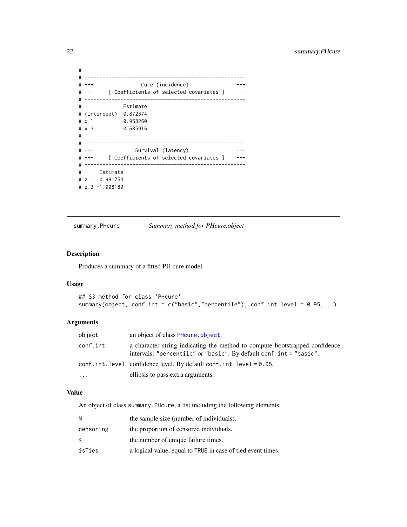```
#
# ------------------------------------------------------
# +++ Cure (incidence) +++
# +++ [ Coefficients of selected covariates ] +++
# ------------------------------------------------------
# Estimate
# (Intercept) 0.872374
# x.1 -0.958260
# x.3 0.685916
#
# ------------------------------------------------------
# +++ Survival (latency) +++
# +++ [ Coefficients of selected covariates ] +++
# ------------------------------------------------------
# Estimate
# z.1 0.991754
# z.3 -1.008180
```
summary.PHcure *Summary method for PHcure.object*

# Description

Produces a summary of a fitted PH cure model

#### Usage

```
## S3 method for class 'PHcure'
summary(object, conf.int = c("basic","percentile"), conf.int.level = 0.95,...)
```
# Arguments

| object   | an object of class PH cure object.                                                                                                                 |
|----------|----------------------------------------------------------------------------------------------------------------------------------------------------|
| conf.int | a character string indicating the method to compute bootstrapped confidence<br>intervals: "percentile" or "basic". By default conf. int = "basic". |
|          | conf.int.level confidence level. By default conf.int.level = 0.95.                                                                                 |
| .        | ellipsis to pass extra arguments.                                                                                                                  |

#### Value

An object of class summary.PHcure, a list including the following elements:

| N         | the sample size (number of individuals).                    |
|-----------|-------------------------------------------------------------|
| censoring | the proportion of censored individuals.                     |
| K.        | the number of unique failure times.                         |
| isTies    | a logical value, equal to TRUE in case of tied event times. |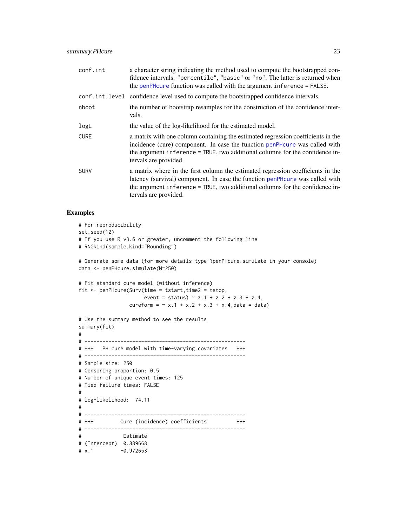<span id="page-22-0"></span>

| conf.int    | a character string indicating the method used to compute the bootstrapped con-<br>fidence intervals: "percentile", "basic" or "no". The latter is returned when<br>the penPH cure function was called with the argument inference = FALSE.                               |
|-------------|--------------------------------------------------------------------------------------------------------------------------------------------------------------------------------------------------------------------------------------------------------------------------|
|             | conf.int.level confidence level used to compute the bootstrapped confidence intervals.                                                                                                                                                                                   |
| nboot       | the number of bootstrap resamples for the construction of the confidence inter-<br>vals.                                                                                                                                                                                 |
| logL        | the value of the log-likelihood for the estimated model.                                                                                                                                                                                                                 |
| <b>CURE</b> | a matrix with one column containing the estimated regression coefficients in the<br>incidence (cure) component. In case the function penPHcure was called with<br>the argument inference = TRUE, two additional columns for the confidence in-<br>tervals are provided.  |
| <b>SURV</b> | a matrix where in the first column the estimated regression coefficients in the<br>latency (survival) component. In case the function penPHcure was called with<br>the argument inference = TRUE, two additional columns for the confidence in-<br>tervals are provided. |

# Examples

```
# For reproducibility
set.seed(12)
# If you use R v3.6 or greater, uncomment the following line
# RNGkind(sample.kind="Rounding")
# Generate some data (for more details type ?penPHcure.simulate in your console)
data <- penPHcure.simulate(N=250)
# Fit standard cure model (without inference)
fit <- penPHcure(Surv(time = tstart,time2 = tstop,
                     event = status) \sim z.1 + z.2 + z.3 + z.4,
                cureform = \sim x.1 + x.2 + x.3 + x.4, data = data)
# Use the summary method to see the results
summary(fit)
#
# ------------------------------------------------------
# +++ PH cure model with time-varying covariates +++
# ------------------------------------------------------
# Sample size: 250
# Censoring proportion: 0.5
# Number of unique event times: 125
# Tied failure times: FALSE
#
# log-likelihood: 74.11
#
# ------------------------------------------------------
# +++ Cure (incidence) coefficients +++
# ------------------------------------------------------
# Estimate
# (Intercept) 0.889668
# x.1 -0.972653
```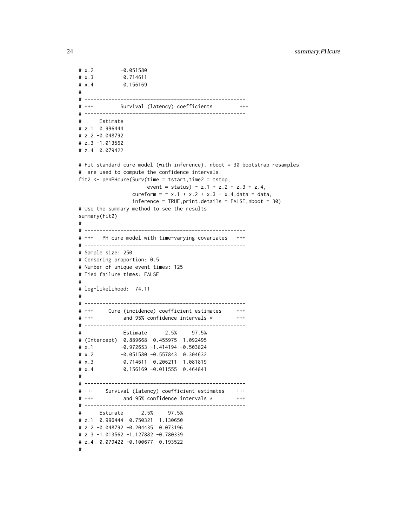```
# x.2 -0.051580# x.3 0.714611
# x.4 0.156169
#
# ------------------------------------------------------
# +++ Survival (latency) coefficients +++
# ------------------------------------------------------
# Estimate
# z.1 0.996444
# z.2 -0.048792
# z.3 -1.013562
# z.4 0.079422
# Fit standard cure model (with inference). nboot = 30 bootstrap resamples
# are used to compute the confidence intervals.
fit2 <- penPHcure(Surv(time = tstart,time2 = tstop,
                    event = status) \sim z.1 + z.2 + z.3 + z.4,
                cureform = \sim x.1 + x.2 + x.3 + x.4, data = data,
                inference = TRUE, print.details = FALSE, nboot = 30)# Use the summary method to see the results
summary(fit2)
#
# ------------------------------------------------------
# +++ PH cure model with time-varying covariates +++
# ------------------------------------------------------
# Sample size: 250
# Censoring proportion: 0.5
# Number of unique event times: 125
# Tied failure times: FALSE
#
# log-likelihood: 74.11
#
# ------------------------------------------------------
# +++ Cure (incidence) coefficient estimates +++
# +++ and 95% confidence intervals * +++
# ------------------------------------------------------
# Estimate 2.5% 97.5%
# (Intercept) 0.889668 0.455975 1.092495
# x.1 -0.972653 -1.414194 -0.503824
# x.2 -0.051580 -0.557843 0.304632
# x.3 0.714611 0.206211 1.081819
# x.4 0.156169 -0.011555 0.464841
#
# ------------------------------------------------------
# +++ Survival (latency) coefficient estimates +++
# +++ and 95% confidence intervals * +++
# ------------------------------------------------------
# Estimate 2.5% 97.5%
# z.1 0.996444 0.750321 1.130650
# z.2 -0.048792 -0.204435 0.073196
# z.3 -1.013562 -1.127882 -0.780339
# z.4 0.079422 -0.100677 0.193522
#
```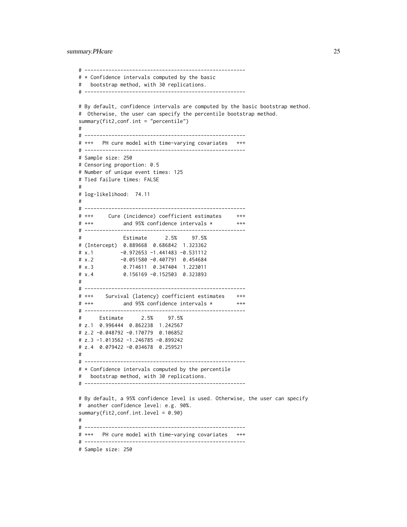```
# ------------------------------------------------------
# * Confidence intervals computed by the basic
# bootstrap method, with 30 replications.
# ------------------------------------------------------
# By default, confidence intervals are computed by the basic bootstrap method.
# Otherwise, the user can specify the percentile bootstrap method.
summary(fit2,conf.int = "percentile")
#
# ------------------------------------------------------
# +++ PH cure model with time-varying covariates +++
# ------------------------------------------------------
# Sample size: 250
# Censoring proportion: 0.5
# Number of unique event times: 125
# Tied failure times: FALSE
#
# log-likelihood: 74.11
#
# ------------------------------------------------------
# +++ Cure (incidence) coefficient estimates +++
# +++ and 95% confidence intervals * +++
# ------------------------------------------------------
# Estimate 2.5% 97.5%
# (Intercept) 0.889668 0.686842 1.323362
# x.1 -0.972653 -1.441483 -0.531112# x.2 -0.051580 -0.407791 0.454684
# x.3 0.714611 0.347404 1.223011
# x.4 0.156169 -0.152503 0.323893
#
# ------------------------------------------------------
# +++ Survival (latency) coefficient estimates +++
# +++ and 95% confidence intervals * +++
# ------------------------------------------------------
# Estimate 2.5% 97.5%
# z.1 0.996444 0.862238 1.242567
# z.2 -0.048792 -0.170779 0.106852
# z.3 -1.013562 -1.246785 -0.899242
# z.4 0.079422 -0.034678 0.259521
#
# ------------------------------------------------------
# * Confidence intervals computed by the percentile
# bootstrap method, with 30 replications.
# ------------------------------------------------------
# By default, a 95% confidence level is used. Otherwise, the user can specify
# another confidence level: e.g. 90%.
summary(fit2, conf.int.level = 0.90)
#
# ------------------------------------------------------
# +++ PH cure model with time-varying covariates +++
# ------------------------------------------------------
# Sample size: 250
```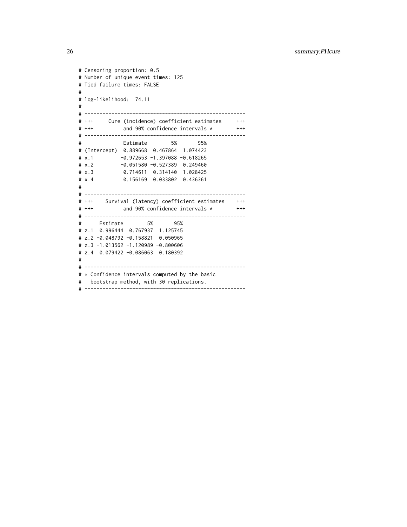```
# Censoring proportion: 0.5
# Number of unique event times: 125
# Tied failure times: FALSE
#
# log-likelihood: 74.11
#
# ------------------------------------------------------
# +++ Cure (incidence) coefficient estimates +++
# +++ and 90% confidence intervals * +++
# ------------------------------------------------------
# Estimate 5% 95%
# (Intercept) 0.889668 0.467864 1.074423
# x.1 -0.972653 -1.397088 -0.618265
# x.2 -0.051580 -0.527389 0.249460
# x.3 0.714611 0.314140 1.028425
# x.4 0.156169 0.033802 0.436361
#
# ------------------------------------------------------
# +++ Survival (latency) coefficient estimates +++
# +++ and 90% confidence intervals * +++
# ------------------------------------------------------
# Estimate 5% 95%
# z.1 0.996444 0.767937 1.125745
# z.2 -0.048792 -0.158821 0.050965
# z.3 -1.013562 -1.120989 -0.800606
# z.4 0.079422 -0.086063 0.180392
#
# ------------------------------------------------------
# * Confidence intervals computed by the basic
# bootstrap method, with 30 replications.
# ------------------------------------------------------
```